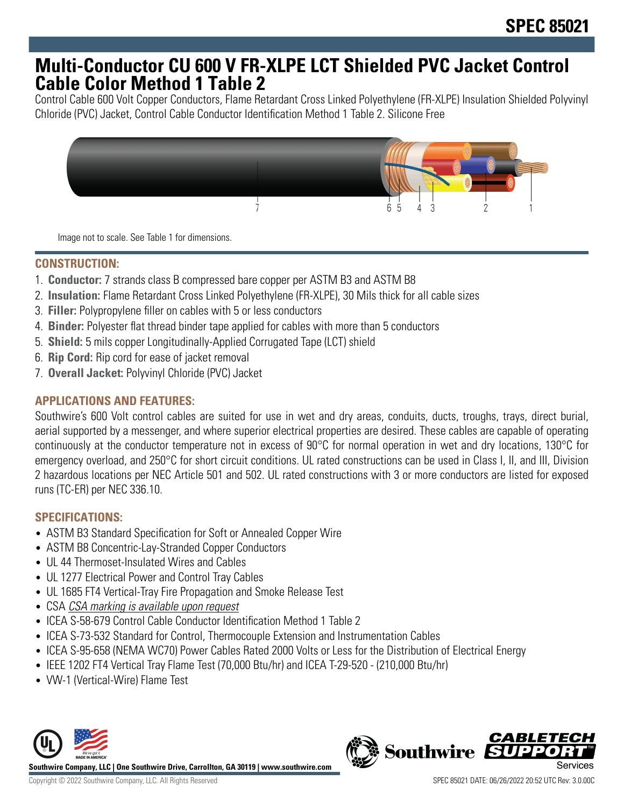## **Multi-Conductor CU 600 V FR-XLPE LCT Shielded PVC Jacket Control Cable Color Method 1 Table 2**

Control Cable 600 Volt Copper Conductors, Flame Retardant Cross Linked Polyethylene (FR-XLPE) Insulation Shielded Polyvinyl Chloride (PVC) Jacket, Control Cable Conductor Identification Method 1 Table 2. Silicone Free



Image not to scale. See Table 1 for dimensions.

## **CONSTRUCTION:**

- 1. **Conductor:** 7 strands class B compressed bare copper per ASTM B3 and ASTM B8
- 2. **Insulation:** Flame Retardant Cross Linked Polyethylene (FR-XLPE), 30 Mils thick for all cable sizes
- 3. **Filler:** Polypropylene filler on cables with 5 or less conductors
- 4. **Binder:** Polyester flat thread binder tape applied for cables with more than 5 conductors
- 5. **Shield:** 5 mils copper Longitudinally-Applied Corrugated Tape (LCT) shield
- 6. **Rip Cord:** Rip cord for ease of jacket removal
- 7. **Overall Jacket:** Polyvinyl Chloride (PVC) Jacket

## **APPLICATIONS AND FEATURES:**

Southwire's 600 Volt control cables are suited for use in wet and dry areas, conduits, ducts, troughs, trays, direct burial, aerial supported by a messenger, and where superior electrical properties are desired. These cables are capable of operating continuously at the conductor temperature not in excess of 90°C for normal operation in wet and dry locations, 130°C for emergency overload, and 250°C for short circuit conditions. UL rated constructions can be used in Class I, II, and III, Division 2 hazardous locations per NEC Article 501 and 502. UL rated constructions with 3 or more conductors are listed for exposed runs (TC-ER) per NEC 336.10.

## **SPECIFICATIONS:**

- ASTM B3 Standard Specification for Soft or Annealed Copper Wire
- ASTM B8 Concentric-Lay-Stranded Copper Conductors
- UL 44 Thermoset-Insulated Wires and Cables
- UL 1277 Electrical Power and Control Tray Cables
- UL 1685 FT4 Vertical-Tray Fire Propagation and Smoke Release Test
- CSA CSA marking is available upon request
- ICEA S-58-679 Control Cable Conductor Identification Method 1 Table 2
- ICEA S-73-532 Standard for Control, Thermocouple Extension and Instrumentation Cables
- ICEA S-95-658 (NEMA WC70) Power Cables Rated 2000 Volts or Less for the Distribution of Electrical Energy
- IEEE 1202 FT4 Vertical Tray Flame Test (70,000 Btu/hr) and ICEA T-29-520 (210,000 Btu/hr)
- VW-1 (Vertical-Wire) Flame Test



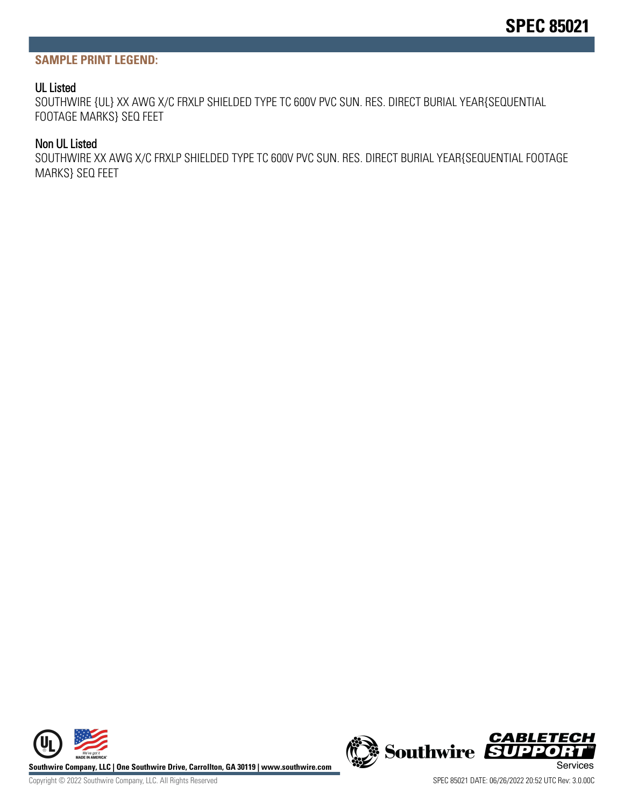#### **SAMPLE PRINT LEGEND:**

#### UL Listed

SOUTHWIRE {UL} XX AWG X/C FRXLP SHIELDED TYPE TC 600V PVC SUN. RES. DIRECT BURIAL YEAR{SEQUENTIAL FOOTAGE MARKS} SEQ FEET

#### Non UL Listed

SOUTHWIRE XX AWG X/C FRXLP SHIELDED TYPE TC 600V PVC SUN. RES. DIRECT BURIAL YEAR{SEQUENTIAL FOOTAGE MARKS} SEQ FEET



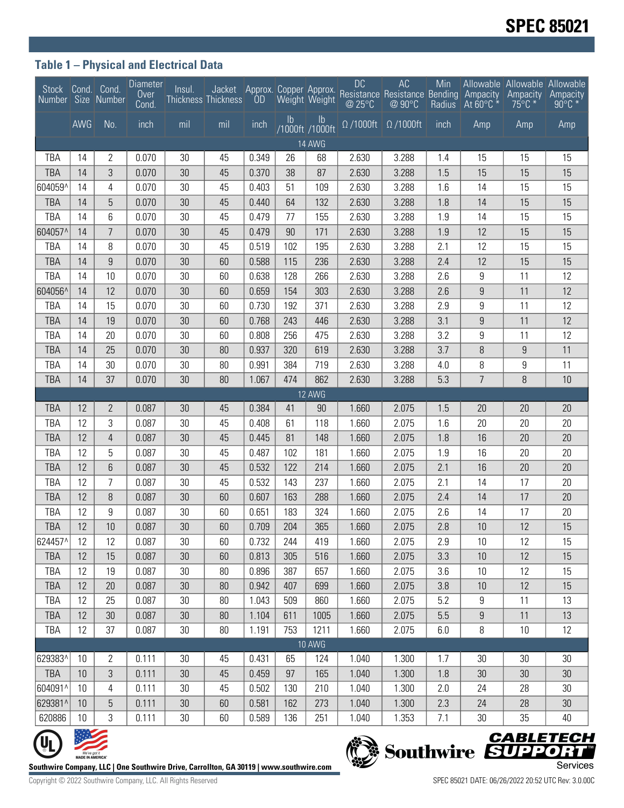## **Table 1 – Physical and Electrical Data**

|               |                                  | Stock Cond. Cond.<br>Number Size Number | Diameter<br>Over<br>Cond. | Insul.   | <b>Thickness Thickness</b>                                                             |                |               |                                  | <b>DC</b>                   | AC<br>Jacket Approx. Copper Approx. Resistance Resistance Bending Ampacity<br>Thickness OD Weight Weight @ 25°C @ 90°C Radius At 60°C * | Min        |                  | Allowable Allowable Allowable<br>Ampacity<br>$75^{\circ}$ C $*$ | Ampacity<br>$90^{\circ}$ C *                 |
|---------------|----------------------------------|-----------------------------------------|---------------------------|----------|----------------------------------------------------------------------------------------|----------------|---------------|----------------------------------|-----------------------------|-----------------------------------------------------------------------------------------------------------------------------------------|------------|------------------|-----------------------------------------------------------------|----------------------------------------------|
|               | AWG                              | No.                                     | $\frac{1}{2}$ inch        | mil      | mil                                                                                    | inch           | $\mathsf{lb}$ | $\mathsf{lb}$<br>/1000ft /1000ft | $\overline{\Omega}$ /1000ft | $\Omega/1000$ ft                                                                                                                        | inch       | Amp              | Amp                                                             | Amp                                          |
| <b>14 AWG</b> |                                  |                                         |                           |          |                                                                                        |                |               |                                  |                             |                                                                                                                                         |            |                  |                                                                 |                                              |
| TBA           | 14                               | 2                                       | 0.070                     | 30       | 45                                                                                     | 0.349          | 26            | 68                               | 2.630                       | 3.288                                                                                                                                   | 1.4        | 15               | 15                                                              | 15                                           |
| TBA           | 14                               | 3                                       | 0.070                     | 30       | 45                                                                                     | 0.370          | 38            | 87                               | 2.630                       | 3.288                                                                                                                                   | 1.5        | 15               | 15                                                              | 15                                           |
| 604059^       | 14                               | 4                                       | 0.070                     | 30       | 45                                                                                     | 0.403          | 51            | 109                              | 2.630                       | 3.288                                                                                                                                   | 1.6        | 14               | 15                                                              | 15                                           |
| TBA           | 14                               | 5                                       | 0.070                     | 30       | 45                                                                                     | 0.440          | 64            | 132                              | 2.630                       | 3.288                                                                                                                                   | 1.8        | 14               | 15                                                              | 15                                           |
| TBA           | 14                               | 6                                       | 0.070                     | 30       | 45                                                                                     | 0.479          | 77            | 155                              | 2.630                       | 3.288                                                                                                                                   | 1.9        | 14               | 15                                                              | 15                                           |
| 604057^       | 14                               | $\overline{7}$                          | 0.070                     | 30       | 45                                                                                     | 0.479          | 90            | 171                              | 2.630                       | 3.288                                                                                                                                   | 1.9        | 12               | 15                                                              | 15                                           |
| TBA           | 14                               | 8                                       | 0.070                     | 30       | 45                                                                                     | 0.519          | 102           | 195                              | 2.630                       | 3.288                                                                                                                                   | 2.1        | 12               | 15                                                              | 15                                           |
| <b>TBA</b>    | 14                               | 9                                       | 0.070                     | 30       | 60                                                                                     | 0.588          | 115           | 236                              | 2.630                       | 3.288                                                                                                                                   | 2.4        | 12               | 15                                                              | 15                                           |
| TBA           | 14                               | 10                                      | 0.070                     | 30       | 60                                                                                     | 0.638          | 128           | 266                              | 2.630                       | 3.288                                                                                                                                   | 2.6        | 9                | 11                                                              | 12                                           |
| 604056^       | 14                               | 12                                      | 0.070                     | 30       | 60                                                                                     | 0.659          | 154           | 303                              | 2.630                       | 3.288                                                                                                                                   | 2.6        | $\boldsymbol{9}$ | 11                                                              | 12                                           |
| TBA           | 14                               | 15                                      | 0.070                     | 30       | 60                                                                                     | 0.730          | 192           | 371                              | 2.630                       | 3.288                                                                                                                                   | 2.9        | 9                | 11                                                              | 12                                           |
| <b>TBA</b>    | 14                               | 19                                      | 0.070                     | 30       | 60                                                                                     | 0.768          | 243           | 446                              | 2.630                       | 3.288                                                                                                                                   | 3.1        | $\boldsymbol{9}$ | 11                                                              | 12                                           |
| TBA           | 14                               | 20                                      | 0.070                     | 30       | 60                                                                                     | 0.808          | 256           | 475                              | 2.630                       | 3.288                                                                                                                                   | 3.2        | 9                | 11                                                              | 12                                           |
| <b>TBA</b>    | 14                               | 25                                      | 0.070                     | 30       | 80                                                                                     | 0.937          | 320           | 619                              | 2.630                       | 3.288                                                                                                                                   | 3.7        | 8                | $\boldsymbol{9}$                                                | 11                                           |
| TBA           | 14                               | 30                                      | 0.070                     | 30       | 80                                                                                     | 0.991          | 384           | 719                              | 2.630                       | 3.288                                                                                                                                   | 4.0        | 8                | 9                                                               | 11                                           |
| TBA           | 14                               | 37                                      | 0.070                     | 30       | 80                                                                                     | 1.067          | 474           | 862                              | 2.630                       | 3.288                                                                                                                                   | 5.3        | $\overline{7}$   | $\, 8$                                                          | 10                                           |
|               |                                  |                                         |                           |          |                                                                                        |                |               | 12 AWG                           |                             |                                                                                                                                         |            |                  |                                                                 |                                              |
| <b>TBA</b>    | 12                               | $\mathbf{2}$                            | 0.087                     | 30       | 45                                                                                     | 0.384          | 41            | 90                               | 1.660                       | 2.075                                                                                                                                   | 1.5        | 20               | 20                                                              | 20                                           |
| TBA           | 12                               | 3                                       | 0.087                     | 30       | 45                                                                                     | 0.408          | 61            | 118                              | 1.660                       | 2.075                                                                                                                                   | 1.6        | 20               | 20                                                              | 20                                           |
| <b>TBA</b>    | 12                               | 4                                       | 0.087                     | 30       | 45                                                                                     | 0.445          | 81            | 148                              | 1.660                       | 2.075                                                                                                                                   | 1.8        | 16               | 20                                                              | 20                                           |
| TBA           | 12                               | 5                                       | 0.087                     | 30       | 45                                                                                     | 0.487          | 102           | 181                              | 1.660                       | 2.075                                                                                                                                   | 1.9        | 16               | 20                                                              | 20                                           |
| <b>TBA</b>    | 12                               | 6                                       | 0.087                     | 30       | 45                                                                                     | 0.532          | 122           | 214                              | 1.660                       | 2.075                                                                                                                                   | 2.1        | 16               | 20                                                              | 20                                           |
| TBA           | 12                               | 7                                       | 0.087                     | 30       | 45                                                                                     | 0.532          | 143           | 237                              | 1.660                       | 2.075                                                                                                                                   | 2.1        | 14               | 17                                                              | 20                                           |
| <b>TBA</b>    | 12                               | 8                                       | 0.087                     | 30       | 60                                                                                     | 0.607          | 163           | 288                              | 1.660                       | 2.075                                                                                                                                   | 2.4        | 14               | 17                                                              | 20                                           |
| TBA           | 12                               | 9                                       | 0.087                     | 30       | 60                                                                                     | 0.651          | 183           | 324                              | 1.660                       | 2.075                                                                                                                                   | 2.6        | 14               | 17                                                              | 20                                           |
| TBA           | 12                               | 10                                      | 0.087                     | 30       | 60                                                                                     | 0.709          | 204           | 365                              | 1.660                       | 2.075                                                                                                                                   | 2.8        | 10               | 12                                                              | 15                                           |
| 624457^       | 12                               | 12                                      | 0.087                     | 30       | 60                                                                                     | 0.732          | 244           | 419                              | 1.660                       | 2.075                                                                                                                                   | 2.9        | 10               | 12                                                              | 15                                           |
| TBA<br>TBA    | 12<br>12                         | 15                                      | 0.087                     | 30       | 60                                                                                     | 0.813          | 305           | 516                              | 1.660                       | 2.075                                                                                                                                   | 3.3        | 10               | 12                                                              | 15                                           |
|               | 12                               | 19                                      | 0.087                     | 30       | 80                                                                                     | 0.896          | 387           | 657                              | 1.660                       | 2.075                                                                                                                                   | 3.6        | 10               | 12                                                              | 15                                           |
| TBA<br>TBA    | 12                               | 20<br>25                                | 0.087<br>0.087            | 30<br>30 | 80<br>80                                                                               | 0.942<br>1.043 | 407<br>509    | 699<br>860                       | 1.660<br>1.660              | 2.075<br>2.075                                                                                                                          | 3.8<br>5.2 | 10<br>9          | 12<br>11                                                        | 15<br>13                                     |
| TBA           | 12                               | 30                                      | 0.087                     | 30       | 80                                                                                     | 1.104          | 611           | 1005                             | 1.660                       | 2.075                                                                                                                                   | 5.5        | $\boldsymbol{9}$ | 11                                                              | 13                                           |
| TBA           | 12                               | 37                                      | 0.087                     | $30\,$   | 80                                                                                     | 1.191          | 753           | 1211                             | 1.660                       | 2.075                                                                                                                                   | 6.0        | 8                | 10                                                              | 12                                           |
|               |                                  |                                         |                           |          |                                                                                        |                |               | <b>10 AWG</b>                    |                             |                                                                                                                                         |            |                  |                                                                 |                                              |
| 629383^       | 10                               | $\overline{2}$                          | 0.111                     | 30       | 45                                                                                     | 0.431          | 65            | 124                              | 1.040                       | 1.300                                                                                                                                   | 1.7        | 30               | 30                                                              | 30                                           |
| TBA           | 10                               | 3                                       | 0.111                     | 30       | 45                                                                                     | 0.459          | 97            | 165                              | 1.040                       | 1.300                                                                                                                                   | 1.8        | 30               | 30                                                              | 30                                           |
| 604091^       | 10                               | 4                                       | 0.111                     | 30       | 45                                                                                     | 0.502          | 130           | 210                              | 1.040                       | 1.300                                                                                                                                   | 2.0        | 24               | 28                                                              | 30                                           |
| 629381^       | 10                               | 5                                       | 0.111                     | 30       | 60                                                                                     | 0.581          | 162           | 273                              | 1.040                       | 1.300                                                                                                                                   | 2.3        | 24               | 28                                                              | 30                                           |
| 620886        | 10                               | 3                                       | 0.111                     | 30       | 60                                                                                     | 0.589          | 136           | 251                              | 1.040                       | 1.353                                                                                                                                   | 7.1        | 30               | 35                                                              | 40                                           |
|               |                                  |                                         |                           |          |                                                                                        |                |               |                                  |                             |                                                                                                                                         |            |                  |                                                                 |                                              |
|               |                                  |                                         |                           |          |                                                                                        |                |               |                                  |                             |                                                                                                                                         |            |                  |                                                                 | <b>CABLETECH</b><br>Southwire <b>SUPPORT</b> |
|               | We've got it<br>MADE IN AMERICA" |                                         |                           |          |                                                                                        |                |               |                                  |                             |                                                                                                                                         |            |                  |                                                                 |                                              |
|               |                                  |                                         |                           |          | Southwire Company, LLC   One Southwire Drive, Carrollton, GA 30119   www.southwire.com |                |               |                                  |                             |                                                                                                                                         |            |                  |                                                                 | Services                                     |